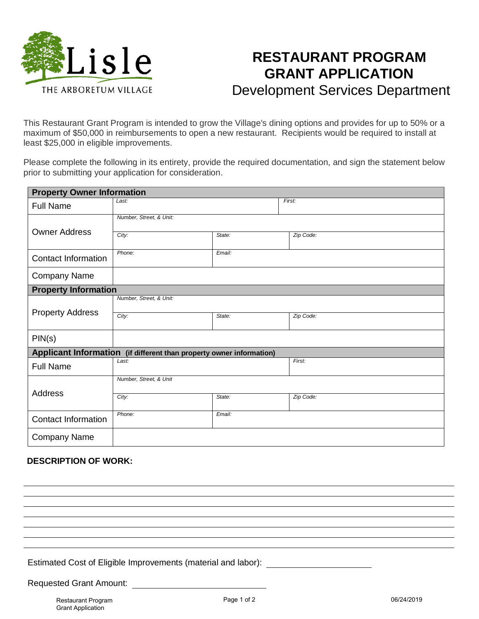

## **RESTAURANT PROGRAM GRANT APPLICATION** Development Services Department

This Restaurant Grant Program is intended to grow the Village's dining options and provides for up to 50% or a maximum of \$50,000 in reimbursements to open a new restaurant. Recipients would be required to install at least \$25,000 in eligible improvements.

Please complete the following in its entirety, provide the required documentation, and sign the statement below prior to submitting your application for consideration.

| <b>Property Owner Information</b>                                    |                         |        |           |
|----------------------------------------------------------------------|-------------------------|--------|-----------|
| <b>Full Name</b>                                                     | Last:                   |        | First:    |
|                                                                      | Number, Street, & Unit: |        |           |
| <b>Owner Address</b>                                                 | City:                   | State: | Zip Code: |
|                                                                      |                         |        |           |
| <b>Contact Information</b>                                           | Phone:                  | Email: |           |
| <b>Company Name</b>                                                  |                         |        |           |
| <b>Property Information</b>                                          |                         |        |           |
| <b>Property Address</b>                                              | Number, Street, & Unit: |        |           |
|                                                                      | City:                   | State: | Zip Code: |
|                                                                      |                         |        |           |
| PIN(s)                                                               |                         |        |           |
| Applicant Information (if different than property owner information) |                         |        |           |
| <b>Full Name</b>                                                     | Last:                   |        | First:    |
|                                                                      | Number, Street, & Unit  |        |           |
| <b>Address</b>                                                       | City:                   | State: | Zip Code: |
|                                                                      |                         |        |           |
| <b>Contact Information</b>                                           | Phone:<br>Email:        |        |           |
| <b>Company Name</b>                                                  |                         |        |           |

## **DESCRIPTION OF WORK:**

Estimated Cost of Eligible Improvements (material and labor):

Requested Grant Amount: